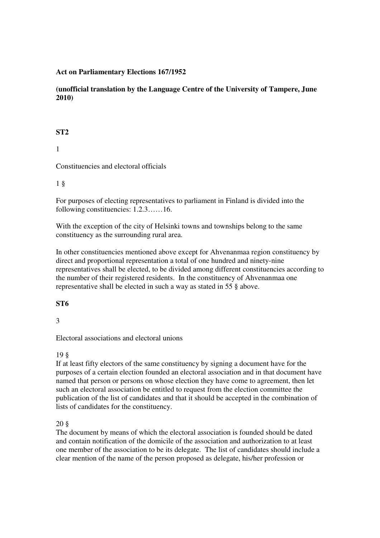### **Act on Parliamentary Elections 167/1952**

**(unofficial translation by the Language Centre of the University of Tampere, June 2010)**

#### **ST2**

1

Constituencies and electoral officials

1 §

For purposes of electing representatives to parliament in Finland is divided into the following constituencies: 1.2.3……16.

With the exception of the city of Helsinki towns and townships belong to the same constituency as the surrounding rural area.

In other constituencies mentioned above except for Ahvenanmaa region constituency by direct and proportional representation a total of one hundred and ninety-nine representatives shall be elected, to be divided among different constituencies according to the number of their registered residents. In the constituency of Ahvenanmaa one representative shall be elected in such a way as stated in 55 § above.

#### **ST6**

3

Electoral associations and electoral unions

#### 19 §

If at least fifty electors of the same constituency by signing a document have for the purposes of a certain election founded an electoral association and in that document have named that person or persons on whose election they have come to agreement, then let such an electoral association be entitled to request from the election committee the publication of the list of candidates and that it should be accepted in the combination of lists of candidates for the constituency.

20 §

The document by means of which the electoral association is founded should be dated and contain notification of the domicile of the association and authorization to at least one member of the association to be its delegate. The list of candidates should include a clear mention of the name of the person proposed as delegate, his/her profession or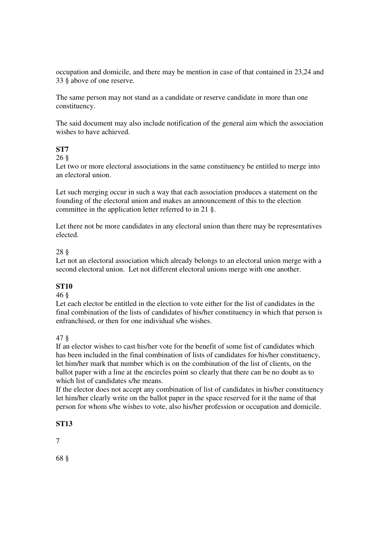occupation and domicile, and there may be mention in case of that contained in 23,24 and 33 § above of one reserve.

The same person may not stand as a candidate or reserve candidate in more than one constituency.

The said document may also include notification of the general aim which the association wishes to have achieved.

# **ST7**

#### 26 §

Let two or more electoral associations in the same constituency be entitled to merge into an electoral union.

Let such merging occur in such a way that each association produces a statement on the founding of the electoral union and makes an announcement of this to the election committee in the application letter referred to in 21 §.

Let there not be more candidates in any electoral union than there may be representatives elected.

#### 28 §

Let not an electoral association which already belongs to an electoral union merge with a second electoral union. Let not different electoral unions merge with one another.

## **ST10**

#### 46 §

Let each elector be entitled in the election to vote either for the list of candidates in the final combination of the lists of candidates of his/her constituency in which that person is enfranchised, or then for one individual s/he wishes.

## 47 §

If an elector wishes to cast his/her vote for the benefit of some list of candidates which has been included in the final combination of lists of candidates for his/her constituency, let him/her mark that number which is on the combination of the list of clients, on the ballot paper with a line at the encircles point so clearly that there can be no doubt as to which list of candidates s/he means.

If the elector does not accept any combination of list of candidates in his/her constituency let him/her clearly write on the ballot paper in the space reserved for it the name of that person for whom s/he wishes to vote, also his/her profession or occupation and domicile.

## **ST13**

7

68 §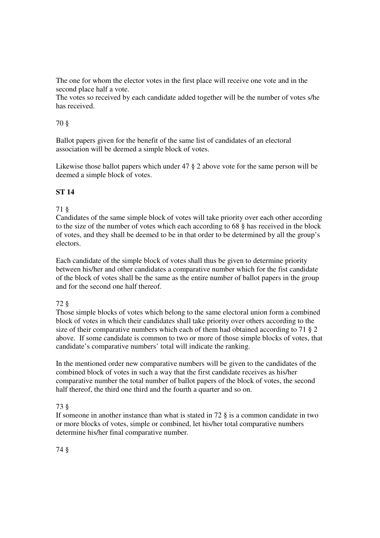The one for whom the elector votes in the first place will receive one vote and in the second place half a vote.

The votes so received by each candidate added together will be the number of votes s/he has received.

### 70 §

Ballot papers given for the benefit of the same list of candidates of an electoral association will be deemed a simple block of votes.

Likewise those ballot papers which under 47 § 2 above vote for the same person will be deemed a simple block of votes.

# **ST 14**

## 71 §

Candidates of the same simple block of votes will take priority over each other according to the size of the number of votes which each according to 68 § has received in the block of votes, and they shall be deemed to be in that order to be determined by all the group's electors.

Each candidate of the simple block of votes shall thus be given to determine priority between his/her and other candidates a comparative number which for the fist candidate of the block of votes shall be the same as the entire number of ballot papers in the group and for the second one half thereof.

## 72 §

Those simple blocks of votes which belong to the same electoral union form a combined block of votes in which their candidates shall take priority over others according to the size of their comparative numbers which each of them had obtained according to 71 § 2 above. If some candidate is common to two or more of those simple blocks of votes, that candidate's comparative numbers' total will indicate the ranking.

In the mentioned order new comparative numbers will be given to the candidates of the combined block of votes in such a way that the first candidate receives as his/her comparative number the total number of ballot papers of the block of votes, the second half thereof, the third one third and the fourth a quarter and so on.

## 73 §

If someone in another instance than what is stated in 72 § is a common candidate in two or more blocks of votes, simple or combined, let his/her total comparative numbers determine his/her final comparative number.

74 §